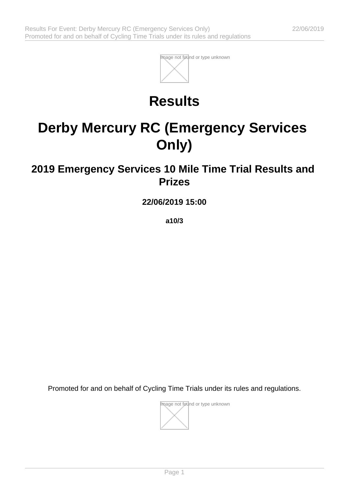

## **Results**

# **Derby Mercury RC (Emergency Services Only)**

### **2019 Emergency Services 10 Mile Time Trial Results and Prizes**

**22/06/2019 15:00**

**a10/3**

Promoted for and on behalf of Cycling Time Trials under its rules and regulations.

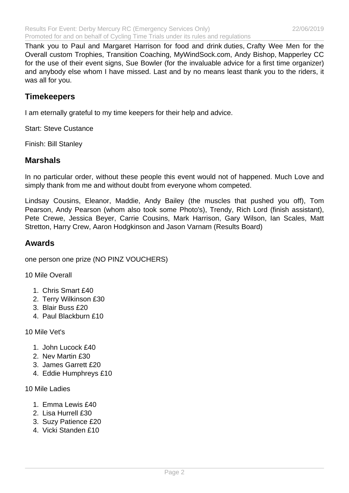Thank you to Paul and Margaret Harrison for food and drink duties, Crafty Wee Men for the Overall custom Trophies, Transition Coaching, MyWindSock.com, Andy Bishop, Mapperley CC for the use of their event signs, Sue Bowler (for the invaluable advice for a first time organizer) and anybody else whom I have missed. Last and by no means least thank you to the riders, it was all for you.

#### **Timekeepers**

I am eternally grateful to my time keepers for their help and advice.

Start: Steve Custance

Finish: Bill Stanley

#### **Marshals**

In no particular order, without these people this event would not of happened. Much Love and simply thank from me and without doubt from everyone whom competed.

Lindsay Cousins, Eleanor, Maddie, Andy Bailey (the muscles that pushed you off), Tom Pearson, Andy Pearson (whom also took some Photo's), Trendy, Rich Lord (finish assistant), Pete Crewe, Jessica Beyer, Carrie Cousins, Mark Harrison, Gary Wilson, Ian Scales, Matt Stretton, Harry Crew, Aaron Hodgkinson and Jason Varnam (Results Board)

#### **Awards**

one person one prize (NO PINZ VOUCHERS)

10 Mile Overall

- 1. Chris Smart £40
- 2. Terry Wilkinson £30
- 3. Blair Buss £20
- 4. Paul Blackburn £10

10 Mile Vet's

- 1. John Lucock £40
- 2. Nev Martin £30
- 3. James Garrett £20
- 4. Eddie Humphreys £10
- 10 Mile Ladies
	- 1. Emma Lewis £40
	- 2. Lisa Hurrell £30
	- 3. Suzy Patience £20
	- 4. Vicki Standen £10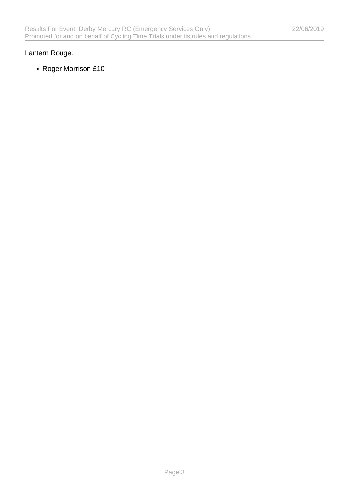#### Lantern Rouge.

Roger Morrison £10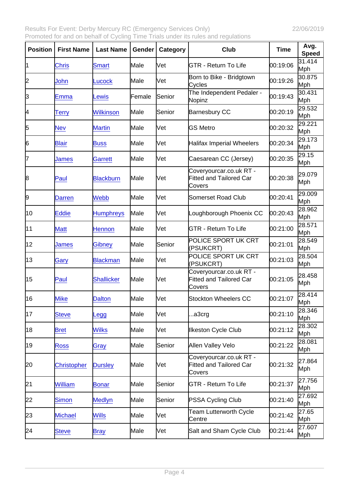| Position | <b>First Name</b>  | Last Name         | Gender  | Category | Club                                                                | Time     | Avg.<br>Speed |
|----------|--------------------|-------------------|---------|----------|---------------------------------------------------------------------|----------|---------------|
| 11       | <b>Chris</b>       | <b>Smart</b>      | Male    | Vet      | <b>GTR - Return To Life</b>                                         | 00:19:06 | 31.414<br>Mph |
| 2        | John               | Lucock            | Male    | Vet      | Born to Bike - Bridgtown<br>Cycles                                  | 00:19:26 | 30.875<br>Mph |
| 3        | Emma               | Lewis             | lFemale | Senior   | The Independent Pedaler -<br>Nopinz                                 | 00:19:43 | 30.431<br>Mph |
| 4        | Terry              | <b>Wilkinson</b>  | Male    | Senior   | <b>Barnesbury CC</b>                                                | 00:20:19 | 29.532<br>Mph |
| 5        | Nev                | <b>Martin</b>     | Male    | Vet      | <b>GS Metro</b>                                                     | 00:20:32 | 29.221<br>Mph |
| 6        | <b>Blair</b>       | <b>Buss</b>       | Male    | Vet      | <b>Halifax Imperial Wheelers</b>                                    | 00:20:34 | 29.173<br>Mph |
| 7        | James              | <b>Garrett</b>    | Male    | Vet      | Caesarean CC (Jersey)                                               | 00:20:35 | 29.15<br>Mph  |
| 8        | Paul               | <b>Blackburn</b>  | Male    | Vet      | Coveryourcar.co.uk RT -<br><b>Fitted and Tailored Car</b><br>Covers | 00:20:38 | 29.079<br>Mph |
| 9        | Darren             | <b>Webb</b>       | Male    | Vet      | Somerset Road Club                                                  | 00:20:41 | 29.009<br>Mph |
| 10       | Eddie              | <b>Humphreys</b>  | Male    | Vet      | Loughborough Phoenix CC                                             | 00:20:43 | 28.962<br>Mph |
| 11       | <b>Matt</b>        | Hennon            | Male    | Vet      | <b>GTR - Return To Life</b>                                         | 00:21:00 | 28.571<br>Mph |
| 12       | James              | <b>Gibney</b>     | Male    | Senior   | POLICE SPORT UK CRT<br>(PSUKCRT)                                    | 00:21:01 | 28.549<br>Mph |
| 13       | Gary               | <b>Blackman</b>   | Male    | Vet      | POLICE SPORT UK CRT<br>(PSUKCRT)                                    | 00:21:03 | 28.504<br>Mph |
| 15       | Paul               | <b>Shallicker</b> | Male    | Vet      | Coveryourcar.co.uk RT -<br><b>Fitted and Tailored Car</b><br>Covers | 00:21:05 | 28.458<br>Mph |
| 16       | <b>Mike</b>        | <b>Dalton</b>     | Male    | Vet      | <b>Stockton Wheelers CC</b>                                         | 00:21:07 | 28.414<br>Mph |
| 17       | <b>Steve</b>       | Legg              | Male    | Vet      | a3crg                                                               | 00:21:10 | 28.346<br>Mph |
| 18       | <b>Bret</b>        | <b>Wilks</b>      | Male    | Vet      | <b>Ilkeston Cycle Club</b>                                          | 00:21:12 | 28.302<br>Mph |
| 19       | <b>Ross</b>        | Gray              | Male    | Senior   | Allen Valley Velo                                                   | 00:21:22 | 28.081<br>Mph |
| 20       | <b>Christopher</b> | <b>Dursley</b>    | Male    | Vet      | Coveryourcar.co.uk RT -<br><b>Fitted and Tailored Car</b><br>Covers | 00:21:32 | 27.864<br>Mph |
| 21       | William            | <b>Bonar</b>      | Male    | Senior   | <b>GTR - Return To Life</b>                                         | 00:21:37 | 27.756<br>Mph |
| 22       | Simon              | <b>Medlyn</b>     | Male    | Senior   | PSSA Cycling Club                                                   | 00:21:40 | 27.692<br>Mph |
| 23       | <b>Michael</b>     | <b>Wills</b>      | Male    | Vet      | <b>Team Lutterworth Cycle</b><br>Centre                             | 00:21:42 | 27.65<br>Mph  |
| 24       | <b>Steve</b>       | <b>Bray</b>       | Male    | Vet      | Salt and Sham Cycle Club                                            | 00:21:44 | 27.607<br>Mph |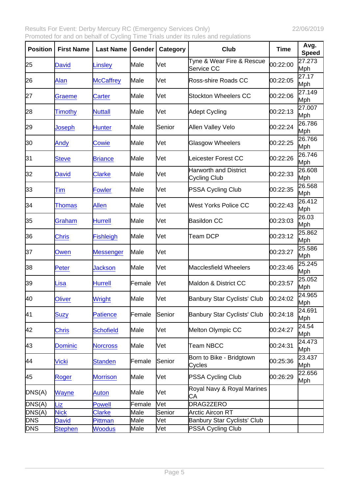| Position   | <b>First Name</b> | Last Name        | Gender | Category | Club                                         | Time     | Avg.<br>Speed |
|------------|-------------------|------------------|--------|----------|----------------------------------------------|----------|---------------|
| 25         | <b>David</b>      | Linsley          | Male   | Vet      | Tyne & Wear Fire & Rescue<br>Service CC      | 00:22:00 | 27.273<br>Mph |
| 26         | Alan              | <b>McCaffrey</b> | Male   | Vet      | Ross-shire Roads CC                          | 00:22:05 | 27.17<br>Mph  |
| 27         | Graeme            | Carter           | Male   | Vet      | <b>Stockton Wheelers CC</b>                  | 00:22:06 | 27.149<br>Mph |
| 28         | <b>Timothy</b>    | <b>Nuttall</b>   | Male   | Vet      | Adept Cycling                                | 00:22:13 | 27.007<br>Mph |
| 29         | Joseph            | <b>Hunter</b>    | Male   | Senior   | Allen Valley Velo                            | 00:22:24 | 26.786<br>Mph |
| 30         | Andy              | Cowie            | Male   | Vet      | <b>Glasgow Wheelers</b>                      | 00:22:25 | 26.766<br>Mph |
| 31         | <b>Steve</b>      | <b>Briance</b>   | Male   | Vet      | Leicester Forest CC                          | 00:22:26 | 26.746<br>Mph |
| 32         | <b>David</b>      | <b>Clarke</b>    | Male   | Vet      | <b>Harworth and District</b><br>Cycling Club | 00:22:33 | 26.608<br>Mph |
| 33         | Tim               | <b>Fowler</b>    | Male   | Vet      | <b>PSSA Cycling Club</b>                     | 00:22:35 | 26.568<br>Mph |
| 34         | Thomas            | Allen            | Male   | Vet      | West Yorks Police CC                         | 00:22:43 | 26.412<br>Mph |
| 35         | Graham            | <b>Hurrell</b>   | Male   | Vet      | <b>Basildon CC</b>                           | 00:23:03 | 26.03<br>Mph  |
| 36         | <b>Chris</b>      | <b>Fishleigh</b> | Male   | Vet      | Team DCP                                     | 00:23:12 | 25.862<br>Mph |
| 37         | Owen              | Messenger        | Male   | Vet      |                                              | 00:23:27 | 25.586<br>Mph |
| 38         | Peter             | <b>Jackson</b>   | Male   | Vet      | Macclesfield Wheelers                        | 00:23:46 | 25.245<br>Mph |
| 39         | Lisa              | <b>Hurrell</b>   | Female | Vet      | Maldon & District CC                         | 00:23:57 | 25.052<br>Mph |
| 40         | <b>Oliver</b>     | <b>Wright</b>    | Male   | Vet      | <b>Banbury Star Cyclists' Club</b>           | 00:24:02 | 24.965<br>Mph |
| 41         | <b>Suzy</b>       | <b>Patience</b>  | Female | Senior   | <b>Banbury Star Cyclists' Club</b>           | 00:24:18 | 24.691<br>Mph |
| 42         | <b>Chris</b>      | <b>Schofield</b> | Male   | Vet      | Melton Olympic CC                            | 00:24:27 | 24.54<br>Mph  |
| 43         | <b>Dominic</b>    | <b>Norcross</b>  | Male   | Vet      | <b>Team NBCC</b>                             | 00:24:31 | 24.473<br>Mph |
| 44         | <b>Vicki</b>      | <b>Standen</b>   | Female | Senior   | Born to Bike - Bridgtown<br>Cycles           | 00:25:36 | 23.437<br>Mph |
| 45         | Roger             | <b>Morrison</b>  | Male   | Vet      | PSSA Cycling Club                            | 00:26:29 | 22.656<br>Mph |
| DNS(A)     | Wayne             | Auton            | Male   | Vet      | Royal Navy & Royal Marines<br>CА             |          |               |
| DNS(A)     | Liz               | <b>Powell</b>    | Female | Vet      | DRAG2ZERO                                    |          |               |
| DNS(A)     | <b>Nick</b>       | Clarke           | Male   | Senior   | <b>Arctic Aircon RT</b>                      |          |               |
| <b>DNS</b> | David             | Pittman          | Male   | Vet      | <b>Banbury Star Cyclists' Club</b>           |          |               |
| <b>DNS</b> | <b>Stephen</b>    | <b>Woodus</b>    | Male   | Vet      | PSSA Cycling Club                            |          |               |